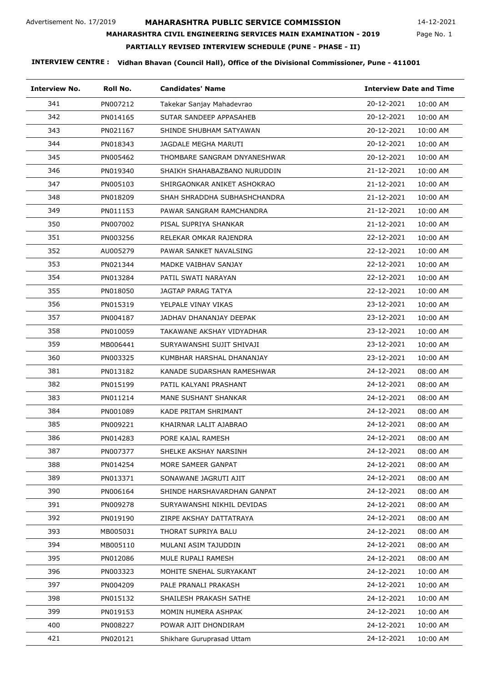**MAHARASHTRA CIVIL ENGINEERING SERVICES MAIN EXAMINATION - 2019**

14-12-2021

# Page No. 1

# **PARTIALLY REVISED INTERVIEW SCHEDULE (PUNE - PHASE - II)**

| <b>Interview No.</b> | Roll No. | <b>Candidates' Name</b>      | <b>Interview Date and Time</b> |
|----------------------|----------|------------------------------|--------------------------------|
| 341                  | PN007212 | Takekar Sanjay Mahadevrao    | 20-12-2021<br>10:00 AM         |
| 342                  | PN014165 | SUTAR SANDEEP APPASAHEB      | 20-12-2021<br>10:00 AM         |
| 343                  | PN021167 | SHINDE SHUBHAM SATYAWAN      | 20-12-2021<br>10:00 AM         |
| 344                  | PN018343 | JAGDALE MEGHA MARUTI         | 20-12-2021<br>10:00 AM         |
| 345                  | PN005462 | THOMBARE SANGRAM DNYANESHWAR | 20-12-2021<br>10:00 AM         |
| 346                  | PN019340 | SHAIKH SHAHABAZBANO NURUDDIN | 21-12-2021<br>10:00 AM         |
| 347                  | PN005103 | SHIRGAONKAR ANIKET ASHOKRAO  | 21-12-2021<br>10:00 AM         |
| 348                  | PN018209 | SHAH SHRADDHA SUBHASHCHANDRA | 21-12-2021<br>10:00 AM         |
| 349                  | PN011153 | PAWAR SANGRAM RAMCHANDRA     | 21-12-2021<br>10:00 AM         |
| 350                  | PN007002 | PISAL SUPRIYA SHANKAR        | 21-12-2021<br>10:00 AM         |
| 351                  | PN003256 | RELEKAR OMKAR RAJENDRA       | 22-12-2021<br>10:00 AM         |
| 352                  | AU005279 | PAWAR SANKET NAVALSING       | 22-12-2021<br>10:00 AM         |
| 353                  | PN021344 | MADKE VAIBHAV SANJAY         | 22-12-2021<br>10:00 AM         |
| 354                  | PN013284 | PATIL SWATI NARAYAN          | 22-12-2021<br>10:00 AM         |
| 355                  | PN018050 | JAGTAP PARAG TATYA           | 22-12-2021<br>10:00 AM         |
| 356                  | PN015319 | YELPALE VINAY VIKAS          | 23-12-2021<br>10:00 AM         |
| 357                  | PN004187 | JADHAV DHANANJAY DEEPAK      | 23-12-2021<br>10:00 AM         |
| 358                  | PN010059 | TAKAWANE AKSHAY VIDYADHAR    | 23-12-2021<br>10:00 AM         |
| 359                  | MB006441 | SURYAWANSHI SUJIT SHIVAJI    | 23-12-2021<br>10:00 AM         |
| 360                  | PN003325 | KUMBHAR HARSHAL DHANANJAY    | 23-12-2021<br>10:00 AM         |
| 381                  | PN013182 | KANADE SUDARSHAN RAMESHWAR   | 24-12-2021<br>08:00 AM         |
| 382                  | PN015199 | PATIL KALYANI PRASHANT       | 24-12-2021<br>08:00 AM         |
| 383                  | PN011214 | MANE SUSHANT SHANKAR         | 24-12-2021<br>08:00 AM         |
| 384                  | PN001089 | KADE PRITAM SHRIMANT         | 24-12-2021<br>08:00 AM         |
| 385                  | PN009221 | KHAIRNAR LALIT AJABRAO       | 24-12-2021<br>08:00 AM         |
| 386                  | PN014283 | PORE KAJAL RAMESH            | 24-12-2021<br>08:00 AM         |
| 387                  | PN007377 | SHELKE AKSHAY NARSINH        | 24-12-2021<br>08:00 AM         |
| 388                  | PN014254 | MORE SAMEER GANPAT           | 24-12-2021<br>08:00 AM         |
| 389                  | PN013371 | SONAWANE JAGRUTI AJIT        | 24-12-2021<br>08:00 AM         |
| 390                  | PN006164 | SHINDE HARSHAVARDHAN GANPAT  | 24-12-2021<br>08:00 AM         |
| 391                  | PN009278 | SURYAWANSHI NIKHIL DEVIDAS   | 24-12-2021<br>08:00 AM         |
| 392                  | PN019190 | ZIRPE AKSHAY DATTATRAYA      | 24-12-2021<br>08:00 AM         |
| 393                  | MB005031 | THORAT SUPRIYA BALU          | 24-12-2021<br>08:00 AM         |
| 394                  | MB005110 | MULANI ASIM TAJUDDIN         | 24-12-2021<br>08:00 AM         |
| 395                  | PN012086 | MULE RUPALI RAMESH           | 24-12-2021<br>08:00 AM         |
| 396                  | PN003323 | MOHITE SNEHAL SURYAKANT      | 24-12-2021<br>10:00 AM         |
| 397                  | PN004209 | PALE PRANALI PRAKASH         | 24-12-2021<br>10:00 AM         |
| 398                  | PN015132 | SHAILESH PRAKASH SATHE       | 24-12-2021<br>10:00 AM         |
| 399                  | PN019153 | MOMIN HUMERA ASHPAK          | 24-12-2021<br>10:00 AM         |
| 400                  | PN008227 | POWAR AJIT DHONDIRAM         | 24-12-2021<br>10:00 AM         |
| 421                  | PN020121 | Shikhare Guruprasad Uttam    | 24-12-2021<br>10:00 AM         |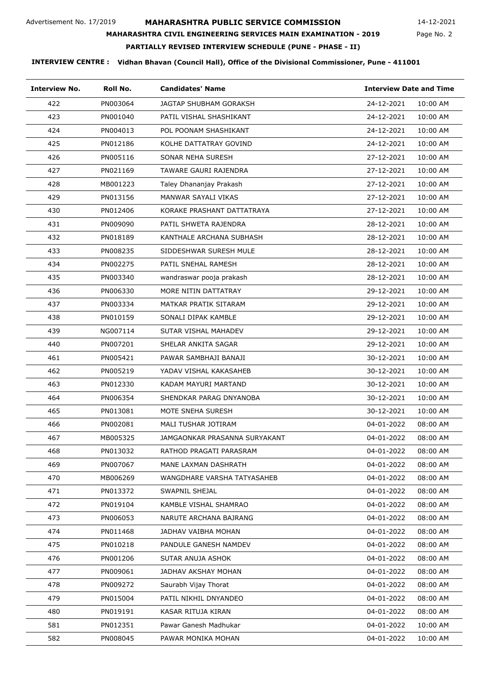**MAHARASHTRA CIVIL ENGINEERING SERVICES MAIN EXAMINATION - 2019**

14-12-2021

# Page No. 2

# **PARTIALLY REVISED INTERVIEW SCHEDULE (PUNE - PHASE - II)**

| <b>Interview No.</b> | Roll No. | <b>Candidates' Name</b>       |                        | <b>Interview Date and Time</b> |  |
|----------------------|----------|-------------------------------|------------------------|--------------------------------|--|
| 422                  | PN003064 | <b>JAGTAP SHUBHAM GORAKSH</b> | 24-12-2021<br>10:00 AM |                                |  |
| 423                  | PN001040 | PATIL VISHAL SHASHIKANT       | 24-12-2021<br>10:00 AM |                                |  |
| 424                  | PN004013 | POL POONAM SHASHIKANT         | 24-12-2021<br>10:00 AM |                                |  |
| 425                  | PN012186 | KOLHE DATTATRAY GOVIND        | 24-12-2021<br>10:00 AM |                                |  |
| 426                  | PN005116 | SONAR NEHA SURESH             | 27-12-2021<br>10:00 AM |                                |  |
| 427                  | PN021169 | TAWARE GAURI RAJENDRA         | 27-12-2021<br>10:00 AM |                                |  |
| 428                  | MB001223 | Taley Dhananjay Prakash       | 27-12-2021<br>10:00 AM |                                |  |
| 429                  | PN013156 | MANWAR SAYALI VIKAS           | 27-12-2021<br>10:00 AM |                                |  |
| 430                  | PN012406 | KORAKE PRASHANT DATTATRAYA    | 27-12-2021<br>10:00 AM |                                |  |
| 431                  | PN009090 | PATIL SHWETA RAJENDRA         | 28-12-2021<br>10:00 AM |                                |  |
| 432                  | PN018189 | KANTHALE ARCHANA SUBHASH      | 28-12-2021<br>10:00 AM |                                |  |
| 433                  | PN008235 | SIDDESHWAR SURESH MULE        | 28-12-2021<br>10:00 AM |                                |  |
| 434                  | PN002275 | PATIL SNEHAL RAMESH           | 28-12-2021<br>10:00 AM |                                |  |
| 435                  | PN003340 | wandraswar pooja prakash      | 28-12-2021<br>10:00 AM |                                |  |
| 436                  | PN006330 | MORE NITIN DATTATRAY          | 29-12-2021<br>10:00 AM |                                |  |
| 437                  | PN003334 | MATKAR PRATIK SITARAM         | 29-12-2021<br>10:00 AM |                                |  |
| 438                  | PN010159 | SONALI DIPAK KAMBLE           | 29-12-2021<br>10:00 AM |                                |  |
| 439                  | NG007114 | SUTAR VISHAL MAHADEV          | 29-12-2021<br>10:00 AM |                                |  |
| 440                  | PN007201 | SHELAR ANKITA SAGAR           | 29-12-2021<br>10:00 AM |                                |  |
| 461                  | PN005421 | PAWAR SAMBHAJI BANAJI         | 30-12-2021<br>10:00 AM |                                |  |
| 462                  | PN005219 | YADAV VISHAL KAKASAHEB        | 30-12-2021<br>10:00 AM |                                |  |
| 463                  | PN012330 | KADAM MAYURI MARTAND          | 30-12-2021<br>10:00 AM |                                |  |
| 464                  | PN006354 | SHENDKAR PARAG DNYANOBA       | 30-12-2021<br>10:00 AM |                                |  |
| 465                  | PN013081 | MOTE SNEHA SURESH             | 30-12-2021<br>10:00 AM |                                |  |
| 466                  | PN002081 | MALI TUSHAR JOTIRAM           | 04-01-2022<br>08:00 AM |                                |  |
| 467                  | MB005325 | JAMGAONKAR PRASANNA SURYAKANT | 04-01-2022<br>08:00 AM |                                |  |
| 468                  | PN013032 | RATHOD PRAGATI PARASRAM       | 04-01-2022<br>08:00 AM |                                |  |
| 469                  | PN007067 | MANE LAXMAN DASHRATH          | 04-01-2022<br>08:00 AM |                                |  |
| 470                  | MB006269 | WANGDHARE VARSHA TATYASAHEB   | 04-01-2022<br>08:00 AM |                                |  |
| 471                  | PN013372 | SWAPNIL SHEJAL                | 04-01-2022<br>08:00 AM |                                |  |
| 472                  | PN019104 | KAMBLE VISHAL SHAMRAO         | 04-01-2022<br>08:00 AM |                                |  |
| 473                  | PN006053 | NARUTE ARCHANA BAJRANG        | 04-01-2022<br>08:00 AM |                                |  |
| 474                  | PN011468 | JADHAV VAIBHA MOHAN           | 04-01-2022<br>08:00 AM |                                |  |
| 475                  | PN010218 | PANDULE GANESH NAMDEV         | 04-01-2022<br>08:00 AM |                                |  |
| 476                  | PN001206 | SUTAR ANUJA ASHOK             | 04-01-2022<br>08:00 AM |                                |  |
| 477                  | PN009061 | JADHAV AKSHAY MOHAN           | 04-01-2022<br>08:00 AM |                                |  |
| 478                  | PN009272 | Saurabh Vijay Thorat          | 04-01-2022<br>08:00 AM |                                |  |
| 479                  | PN015004 | PATIL NIKHIL DNYANDEO         | 04-01-2022<br>08:00 AM |                                |  |
| 480                  | PN019191 | KASAR RITUJA KIRAN            | 04-01-2022<br>08:00 AM |                                |  |
| 581                  | PN012351 | Pawar Ganesh Madhukar         | 04-01-2022<br>10:00 AM |                                |  |
| 582                  | PN008045 | PAWAR MONIKA MOHAN            | 04-01-2022<br>10:00 AM |                                |  |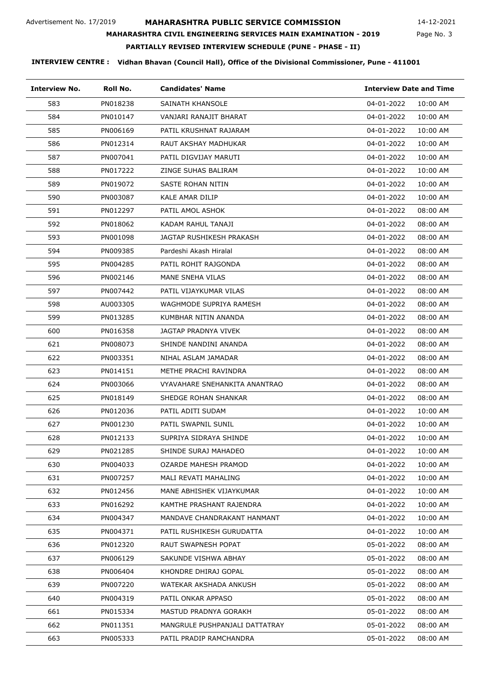**MAHARASHTRA CIVIL ENGINEERING SERVICES MAIN EXAMINATION - 2019**

14-12-2021

#### Page No. 3

### **PARTIALLY REVISED INTERVIEW SCHEDULE (PUNE - PHASE - II)**

| <b>Interview No.</b> | Roll No. | <b>Candidates' Name</b>        | <b>Interview Date and Time</b> |
|----------------------|----------|--------------------------------|--------------------------------|
| 583                  | PN018238 | SAINATH KHANSOLE               | 04-01-2022<br>10:00 AM         |
| 584                  | PN010147 | VANJARI RANAJIT BHARAT         | 04-01-2022<br>10:00 AM         |
| 585                  | PN006169 | PATIL KRUSHNAT RAJARAM         | 04-01-2022<br>10:00 AM         |
| 586                  | PN012314 | RAUT AKSHAY MADHUKAR           | 04-01-2022<br>10:00 AM         |
| 587                  | PN007041 | PATIL DIGVIJAY MARUTI          | 04-01-2022<br>10:00 AM         |
| 588                  | PN017222 | ZINGE SUHAS BALIRAM            | 04-01-2022<br>10:00 AM         |
| 589                  | PN019072 | SASTE ROHAN NITIN              | 04-01-2022<br>10:00 AM         |
| 590                  | PN003087 | KALE AMAR DILIP                | 04-01-2022<br>10:00 AM         |
| 591                  | PN012297 | PATIL AMOL ASHOK               | 04-01-2022<br>08:00 AM         |
| 592                  | PN018062 | KADAM RAHUL TANAJI             | 04-01-2022<br>08:00 AM         |
| 593                  | PN001098 | JAGTAP RUSHIKESH PRAKASH       | 04-01-2022<br>08:00 AM         |
| 594                  | PN009385 | Pardeshi Akash Hiralal         | 04-01-2022<br>08:00 AM         |
| 595                  | PN004285 | PATIL ROHIT RAJGONDA           | 04-01-2022<br>08:00 AM         |
| 596                  | PN002146 | MANE SNEHA VILAS               | 04-01-2022<br>08:00 AM         |
| 597                  | PN007442 | PATIL VIJAYKUMAR VILAS         | 04-01-2022<br>08:00 AM         |
| 598                  | AU003305 | WAGHMODE SUPRIYA RAMESH        | 04-01-2022<br>08:00 AM         |
| 599                  | PN013285 | KUMBHAR NITIN ANANDA           | 04-01-2022<br>08:00 AM         |
| 600                  | PN016358 | JAGTAP PRADNYA VIVEK           | 04-01-2022<br>08:00 AM         |
| 621                  | PN008073 | SHINDE NANDINI ANANDA          | 04-01-2022<br>08:00 AM         |
| 622                  | PN003351 | NIHAL ASLAM JAMADAR            | 04-01-2022<br>08:00 AM         |
| 623                  | PN014151 | METHE PRACHI RAVINDRA          | 04-01-2022<br>08:00 AM         |
| 624                  | PN003066 | VYAVAHARE SNEHANKITA ANANTRAO  | 04-01-2022<br>08:00 AM         |
| 625                  | PN018149 | SHEDGE ROHAN SHANKAR           | 04-01-2022<br>08:00 AM         |
| 626                  | PN012036 | PATIL ADITI SUDAM              | 04-01-2022<br>10:00 AM         |
| 627                  | PN001230 | PATIL SWAPNIL SUNIL            | 04-01-2022<br>10:00 AM         |
| 628                  | PN012133 | SUPRIYA SIDRAYA SHINDE         | 04-01-2022<br>10:00 AM         |
| 629                  | PN021285 | SHINDE SURAJ MAHADEO           | 04-01-2022<br>10:00 AM         |
| 630                  | PN004033 | <b>OZARDE MAHESH PRAMOD</b>    | 04-01-2022<br>10:00 AM         |
| 631                  | PN007257 | MALI REVATI MAHALING           | 04-01-2022<br>10:00 AM         |
| 632                  | PN012456 | MANE ABHISHEK VIJAYKUMAR       | 04-01-2022<br>10:00 AM         |
| 633                  | PN016292 | KAMTHE PRASHANT RAJENDRA       | 04-01-2022<br>10:00 AM         |
| 634                  | PN004347 | MANDAVE CHANDRAKANT HANMANT    | 04-01-2022<br>10:00 AM         |
| 635                  | PN004371 | PATIL RUSHIKESH GURUDATTA      | 04-01-2022<br>10:00 AM         |
| 636                  | PN012320 | RAUT SWAPNESH POPAT            | 05-01-2022<br>08:00 AM         |
| 637                  | PN006129 | SAKUNDE VISHWA ABHAY           | 05-01-2022<br>08:00 AM         |
| 638                  | PN006404 | KHONDRE DHIRAJ GOPAL           | 05-01-2022<br>08:00 AM         |
| 639                  | PN007220 | WATEKAR AKSHADA ANKUSH         | 05-01-2022<br>08:00 AM         |
| 640                  | PN004319 | PATIL ONKAR APPASO             | 05-01-2022<br>08:00 AM         |
| 661                  | PN015334 | MASTUD PRADNYA GORAKH          | 05-01-2022<br>08:00 AM         |
| 662                  | PN011351 | MANGRULE PUSHPANJALI DATTATRAY | 05-01-2022<br>08:00 AM         |
| 663                  | PN005333 | PATIL PRADIP RAMCHANDRA        | 05-01-2022<br>08:00 AM         |